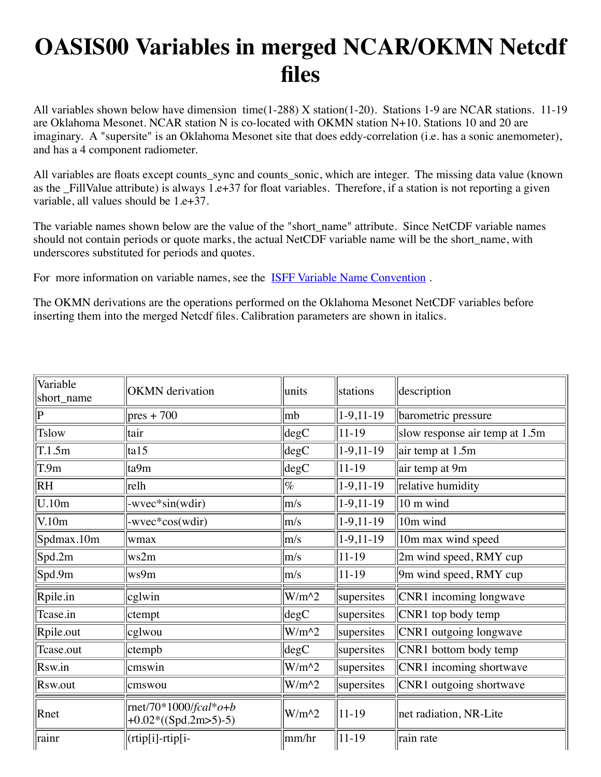## **OASIS00 Variables in merged NCAR/OKMN Netcdf files**

All variables shown below have dimension  $time(1-288)$  X station(1-20). Stations 1-9 are NCAR stations. 11-19 are Oklahoma Mesonet. NCAR station N is co-located with OKMN station N+10. Stations 10 and 20 are imaginary. A "supersite" is an Oklahoma Mesonet site that does eddy-correlation (i.e. has a sonic anemometer), and has a 4 component radiometer.

All variables are floats except counts\_sync and counts\_sonic, which are integer. The missing data value (known as the \_FillValue attribute) is always 1.e+37 for float variables. Therefore, if a station is not reporting a given variable, all values should be 1.e+37.

The variable names shown below are the value of the "short\_name" attribute. Since NetCDF variable names should not contain periods or quote marks, the actual NetCDF variable name will be the short\_name, with underscores substituted for periods and quotes.

For more information on variable names, see the  [ISFF Variable Name Convention](http://www.atd.ucar.edu/sssf/facilities/isff/varnames.html) .

The OKMN derivations are the operations performed on the Oklahoma Mesonet NetCDF variables before inserting them into the merged Netcdf files. Calibration parameters are shown in italics.

| Variable<br>short_name | <b>OKMN</b> derivation                            | lunits        | stations     | description                    |
|------------------------|---------------------------------------------------|---------------|--------------|--------------------------------|
| P                      | $ pres + 700$                                     | mb            | $1-9, 11-19$ | barometric pressure            |
| <b>Tslow</b>           | tair                                              | $\text{degC}$ | $11 - 19$    | slow response air temp at 1.5m |
| T.1.5m                 | $ ta15\rangle$                                    | $\text{degC}$ | $1-9, 11-19$ | air temp at $1.5m$             |
| T.9m                   | ta9m                                              | $\text{degC}$ | $11 - 19$    | air temp at 9m                 |
| RH                     | relh                                              | $ \%$         | $1-9, 11-19$ | relative humidity              |
| U.10m                  | -wvec*sin(wdir)                                   | m/s           | $1-9, 11-19$ | $ 10 \text{ m}$ wind           |
| V.10m                  | -wvec*cos(wdir)                                   | m/s           | $1-9, 11-19$ | 10m wind                       |
| Spdmax.10m             | wmax                                              | m/s           | $1-9, 11-19$ | 10m max wind speed             |
| Spd.2m                 | ws2m                                              | m/s           | $11 - 19$    | 2m wind speed, RMY cup         |
| Spd.9m                 | ws9m                                              | m/s           | $ 11-19$     | 9m wind speed, RMY cup         |
| Rpile.in               | cglwin                                            | $W/m^2$       | supersites   | CNR1 incoming longwave         |
| Tcase.in               | ctempt                                            | $\text{degC}$ | supersites   | CNR1 top body temp             |
| Rpile.out              | $\log$ lwou                                       | $W/m^2$       | supersites   | CNR1 outgoing longwave         |
| Tcase.out              | ctempb                                            | $\text{degC}$ | supersites   | CNR1 bottom body temp          |
| Rsw.in                 | cmswin                                            | $W/m^2$       | supersites   | CNR1 incoming shortwave        |
| Rsw.out                | cmswou                                            | $W/m^2$       | supersites   | CNR1 outgoing shortwave        |
| Rnet                   | $rnet/70*1000/fcal*o+b$<br>$+0.02*((Spd.2m>5)-5)$ | $W/m^2$       | $ 11-19$     | net radiation, NR-Lite         |
| rainr                  | (rtip[i]-rtip[i-                                  | mm/hr         | $ 11-19$     | rain rate                      |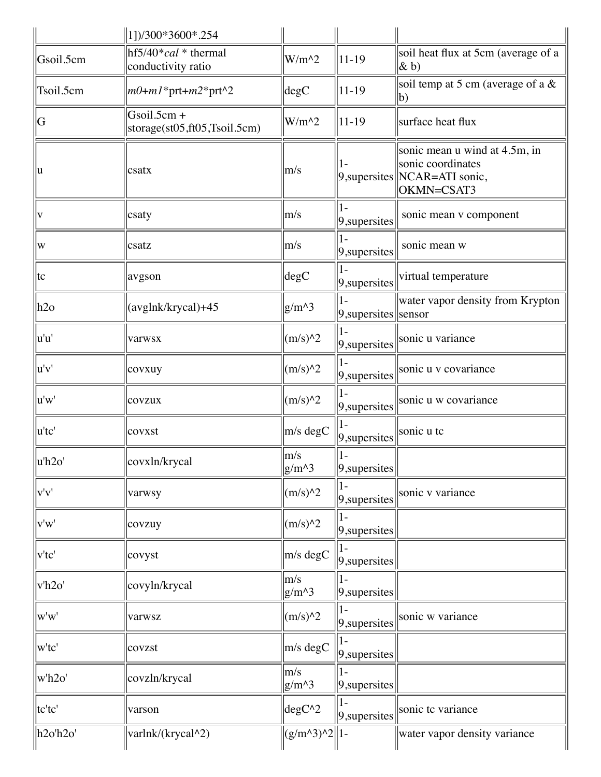|                                                                                        | 1])/300*3600*.254                                |                         |                                       |                                                                                                     |
|----------------------------------------------------------------------------------------|--------------------------------------------------|-------------------------|---------------------------------------|-----------------------------------------------------------------------------------------------------|
| Gsoil.5cm                                                                              | hf5/40 $*$ cal $*$ thermal<br>conductivity ratio | $W/m^2$                 | $ 11 - 19$                            | soil heat flux at 5cm (average of a<br>$\& b)$                                                      |
| Tsoil.5cm                                                                              | $ m0+m1*$ prt+ $m2*$ prt^2                       | $\text{degC}$           | $ 11-19$                              | soil temp at 5 cm (average of a $\&$<br> b)                                                         |
| G                                                                                      | $Gsoil.5cm +$<br>storage(st05,ft05,Tsoil.5cm)    | $W/m^2$                 | $ 11-19$                              | surface heat flux                                                                                   |
| u                                                                                      | csatx                                            | m/s                     | 1-                                    | sonic mean u wind at 4.5m, in<br>sonic coordinates<br>9, supersites   NCAR=ATI sonic,<br>OKMN=CSAT3 |
| ١v                                                                                     | csaty                                            | m/s                     | $1-$<br>$ 9,$ supersites $ $          | sonic mean v component                                                                              |
| lw                                                                                     | csatz                                            | m/s                     | $1-$<br>$9$ , supersites              | sonic mean w                                                                                        |
| tc                                                                                     | avgson                                           | $\deg C$                | $ 9,$ supersites                      | virtual temperature                                                                                 |
| h2o                                                                                    | $(avglnk/krycal)+45$                             | $g/m^{3}$               | $1-$<br>$9$ , supersites sons or      | water vapor density from Krypton                                                                    |
| u'u'                                                                                   | varwsx                                           | $\rm (m/s)^2$           | $\overline{1}$<br>$ 9,$ supersites    | sonic u variance                                                                                    |
| u'v'                                                                                   | covxuy                                           | $\text{(m/s)}^2$        | $1 -$<br>$9$ , supersites             | sonic u v covariance                                                                                |
| u'w'                                                                                   | covzux                                           | $\text{(m/s)}^2$        | $1-$<br>$9$ , supersites              | sonic u w covariance                                                                                |
| u'tc'                                                                                  | covxst                                           | $ m/s$ degC             | $9$ , supersites solic u tc           |                                                                                                     |
| $\ $ u'h2o'                                                                            | covxln/krycal                                    | m/s<br>$\rm g/m^{3}$    | $1-$<br>$ 9$ , supersites             |                                                                                                     |
| $ {\rm v}^{\scriptscriptstyle {\rm \prime}} {\rm v}^{\scriptscriptstyle {\rm \prime}}$ | varwsy                                           | $\text{(m/s)}^2$        | $1 -$<br>$ 9,$ supersites             | sonic v variance                                                                                    |
| $ {\rm v}^{\scriptscriptstyle \dagger}{\rm w}^{\scriptscriptstyle \dagger}$            | covzuy                                           | $\text{(m/s)}^2$        | $\overline{1}$ -<br>$ 9$ , supersites |                                                                                                     |
| v'tc'                                                                                  | covyst                                           | $ m/s$ degC             | $\mathbf{I}$<br>$ 9,$ supersites $ $  |                                                                                                     |
| v'h2o'                                                                                 | covyln/krycal                                    | m/s <br>$g/m^{3}$       | 1-<br>$ 9,$ supersites $ $            |                                                                                                     |
| $ {\rm w}' {\rm w}'$                                                                   | varwsz                                           | $\text{(m/s)}^2$        | $ 1-$<br>9, supersites                | sonic w variance                                                                                    |
| w'tc'                                                                                  | covzst                                           | $ m/s$ degC             | $ 9,$ supersites $ $                  |                                                                                                     |
| w'h2o'                                                                                 | covzln/krycal                                    | m/s <br>$g/m^{3}$       | $1-$<br>$ 9,$ supersites $ $          |                                                                                                     |
| tc'tc'                                                                                 | varson                                           | $\text{degC}^{\wedge}2$ | $ 1-$<br>$9$ , supersites             | sonic to variance                                                                                   |
| h2o'h2o'                                                                               | varlnk/(krycal^2)                                | $(g/m^{3})^{2}$   1-    |                                       | water vapor density variance                                                                        |